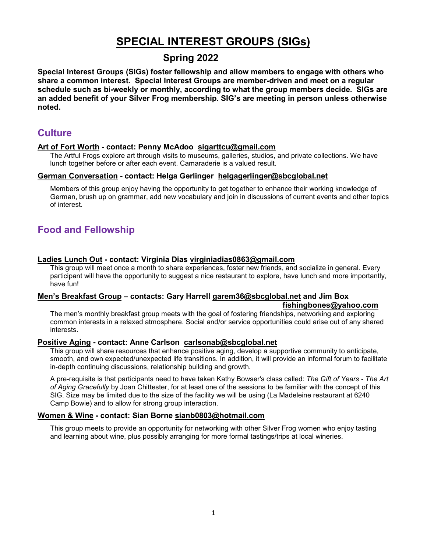# **SPECIAL INTEREST GROUPS (SIGs)**

## **Spring 2022**

**Special Interest Groups (SIGs) foster fellowship and allow members to engage with others who share a common interest. Special Interest Groups are member-driven and meet on a regular schedule such as bi-weekly or monthly, according to what the group members decide. SIGs are an added benefit of your Silver Frog membership. SIG's are meeting in person unless otherwise noted.**

### **Culture**

#### **Art of Fort Worth - contact: Penny McAdoo sigarttcu@gmail.com**

The Artful Frogs explore art through visits to museums, galleries, studios, and private collections. We have lunch together before or after each event. Camaraderie is a valued result.

#### **German Conversation - contact: Helga Gerlinger [helgagerlinger@sbcglobal.net](mailto:helgagerlinger@sbcglobal.net)**

Members of this group enjoy having the opportunity to get together to enhance their working knowledge of German, brush up on grammar, add new vocabulary and join in discussions of current events and other topics of interest.

# **Food and Fellowship**

#### **Ladies Lunch Out - contact: Virginia Dias [virginiadias0863@gmail.com](file://tcu.edu/dfs1/ced_admin/Silver%20Frogs%20Administration/virginiadias0863@gmail.com)**

This group will meet once a month to share experiences, foster new friends, and socialize in general. Every participant will have the opportunity to suggest a nice restaurant to explore, have lunch and more importantly, have fun!

#### **Men's Breakfast Group – contacts: Gary Harrell [garem36@sbcglobal.net](mailto:garem36@sbcglobal.net) and Jim Box**

#### **[fishingbones@yahoo.com](mailto:fishingbones@yahoo.com)**

The men's monthly breakfast group meets with the goal of fostering friendships, networking and exploring common interests in a relaxed atmosphere. Social and/or service opportunities could arise out of any shared interests.

#### **Positive Aging - contact: Anne Carlson [carlsonab@sbcglobal.net](mailto:carlsonab@sbcglobal.net)**

This group will share resources that enhance positive aging, develop a supportive community to anticipate, smooth, and own expected/unexpected life transitions. In addition, it will provide an informal forum to facilitate in-depth continuing discussions, relationship building and growth.

A pre-requisite is that participants need to have taken Kathy Bowser's class called: *The Gift of Years - The Art of Aging Gracefully* by Joan Chittester, for at least one of the sessions to be familiar with the concept of this SIG. Size may be limited due to the size of the facility we will be using (La Madeleine restaurant at 6240 Camp Bowie) and to allow for strong group interaction.

#### **Women & Wine - contact: Sian Borne [sianb0803@hotmail.com](mailto:sianb0803@hotmail.com)**

This group meets to provide an opportunity for networking with other Silver Frog women who enjoy tasting and learning about wine, plus possibly arranging for more formal tastings/trips at local wineries.